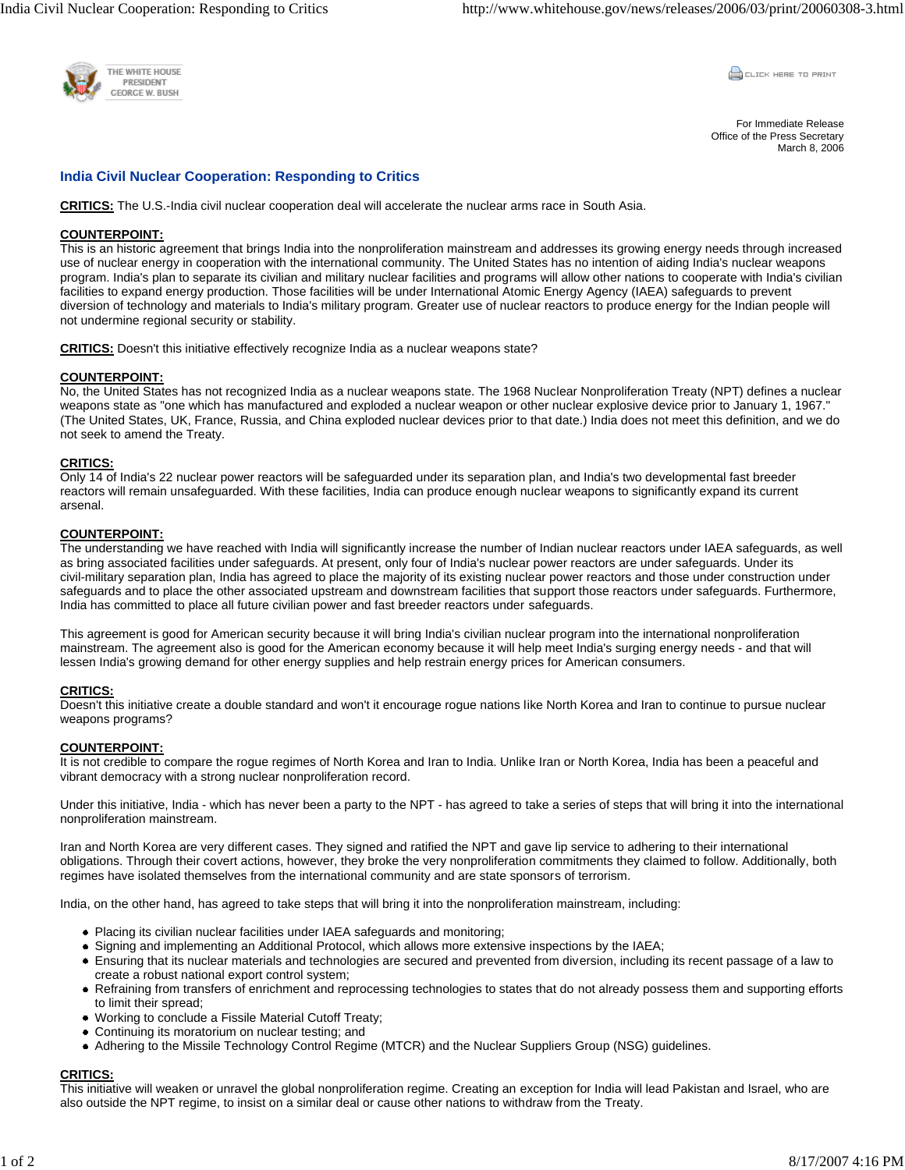

**COLLEK HERE TO PRINT** 

For Immediate Release Office of the Press Secretary March 8, 2006

# **India Civil Nuclear Cooperation: Responding to Critics**

**CRITICS:** The U.S.-India civil nuclear cooperation deal will accelerate the nuclear arms race in South Asia.

## **COUNTERPOINT:**

This is an historic agreement that brings India into the nonproliferation mainstream and addresses its growing energy needs through increased use of nuclear energy in cooperation with the international community. The United States has no intention of aiding India's nuclear weapons program. India's plan to separate its civilian and military nuclear facilities and programs will allow other nations to cooperate with India's civilian facilities to expand energy production. Those facilities will be under International Atomic Energy Agency (IAEA) safeguards to prevent diversion of technology and materials to India's military program. Greater use of nuclear reactors to produce energy for the Indian people will not undermine regional security or stability.

**CRITICS:** Doesn't this initiative effectively recognize India as a nuclear weapons state?

## **COUNTERPOINT:**

No, the United States has not recognized India as a nuclear weapons state. The 1968 Nuclear Nonproliferation Treaty (NPT) defines a nuclear weapons state as "one which has manufactured and exploded a nuclear weapon or other nuclear explosive device prior to January 1, 1967." (The United States, UK, France, Russia, and China exploded nuclear devices prior to that date.) India does not meet this definition, and we do not seek to amend the Treaty.

## **CRITICS:**

Only 14 of India's 22 nuclear power reactors will be safeguarded under its separation plan, and India's two developmental fast breeder reactors will remain unsafeguarded. With these facilities, India can produce enough nuclear weapons to significantly expand its current arsenal.

## **COUNTERPOINT:**

The understanding we have reached with India will significantly increase the number of Indian nuclear reactors under IAEA safeguards, as well as bring associated facilities under safeguards. At present, only four of India's nuclear power reactors are under safeguards. Under its civil-military separation plan, India has agreed to place the majority of its existing nuclear power reactors and those under construction under safeguards and to place the other associated upstream and downstream facilities that support those reactors under safeguards. Furthermore, India has committed to place all future civilian power and fast breeder reactors under safeguards.

This agreement is good for American security because it will bring India's civilian nuclear program into the international nonproliferation mainstream. The agreement also is good for the American economy because it will help meet India's surging energy needs - and that will lessen India's growing demand for other energy supplies and help restrain energy prices for American consumers.

## **CRITICS:**

Doesn't this initiative create a double standard and won't it encourage rogue nations like North Korea and Iran to continue to pursue nuclear weapons programs?

## **COUNTERPOINT:**

It is not credible to compare the rogue regimes of North Korea and Iran to India. Unlike Iran or North Korea, India has been a peaceful and vibrant democracy with a strong nuclear nonproliferation record.

Under this initiative, India - which has never been a party to the NPT - has agreed to take a series of steps that will bring it into the international nonproliferation mainstream.

Iran and North Korea are very different cases. They signed and ratified the NPT and gave lip service to adhering to their international obligations. Through their covert actions, however, they broke the very nonproliferation commitments they claimed to follow. Additionally, both regimes have isolated themselves from the international community and are state sponsors of terrorism.

India, on the other hand, has agreed to take steps that will bring it into the nonproliferation mainstream, including:

- Placing its civilian nuclear facilities under IAEA safeguards and monitoring;
- Signing and implementing an Additional Protocol, which allows more extensive inspections by the IAEA;
- Ensuring that its nuclear materials and technologies are secured and prevented from diversion, including its recent passage of a law to create a robust national export control system;
- Refraining from transfers of enrichment and reprocessing technologies to states that do not already possess them and supporting efforts to limit their spread;
- Working to conclude a Fissile Material Cutoff Treaty;
- Continuing its moratorium on nuclear testing; and
- Adhering to the Missile Technology Control Regime (MTCR) and the Nuclear Suppliers Group (NSG) guidelines.

## **CRITICS:**

This initiative will weaken or unravel the global nonproliferation regime. Creating an exception for India will lead Pakistan and Israel, who are also outside the NPT regime, to insist on a similar deal or cause other nations to withdraw from the Treaty.